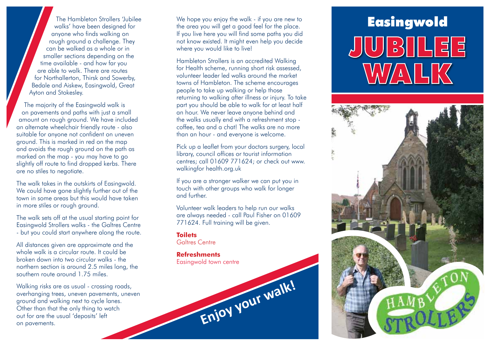walks' have been designed for anyone who finds walking on rough ground a challenge. They can be walked as a whole or in smaller sections depending on the time available - and how far you are able to walk. There are routes for Northallerton, Thirsk and Sowerby, Bedale and Aiskew, Easingwold, Great Ayton and Stokesley.

The majority of the Easingwold walk is on pavements and paths with just a small amount on rough ground. We have included an alternate wheelchair friendly route - also suitable for anyone not confident on uneven ground. This is marked in red on the map and avoids the rough ground on the path as marked on the map - you may have to go slightly off route to find dropped kerbs. There are no stiles to negotiate.

The walk takes in the outskirts of Easingwold. We could have gone slightly further out of the town in some areas but this would have taken in more stiles or rough ground.

The walk sets off at the usual starting point for Easingwold Strollers walks - the Galtres Centre - but you could start anywhere along the route.

All distances given are approximate and the whole walk is a circular route. It could be broken down into two circular walks - the northern section is around 2.5 miles long, the southern route around 1.75 miles.

Walking risks are as usual - crossing roads, overhanging trees, uneven pavements, uneven ground and walking next to cycle lanes. Other than that the only thing to watch out for are the usual 'deposits' left on pavements.

The Hambleton Strollers 'Jubilee We hope you enjoy the walk - if you are new to **Table The Strollers of the Strong We** We hope you enjoy the walk - if you are new to the area you will get a good feel for the place. If you live here you will find some paths you did not know existed. It might even help you decide where you would like to live!

> Hambleton Strollers is an accredited Walking for Health scheme, running short risk assessed, volunteer leader led walks around the market towns of Hambleton. The scheme encourages people to take up walking or help those returning to walking after illness or injury. To take part you should be able to walk for at least half an hour. We never leave anyone behind and the walks usually end with a refreshment stop coffee, tea and a chat! The walks are no more than an hour - and everyone is welcome.

> Pick up a leaflet from your doctors surgery, local library, council offices or tourist information centres; call 01609 771624; or check out www. walkingfor health.org.uk

If you are a stronger walker we can put you in touch with other groups who walk for longer and further.

Volunteer walk leaders to help run our walks are always needed - call Paul Fisher on 01609 771624. Full training will be given.

**Enjoy your walk!**

## **Toilets**

Galtres Centre

## **Refreshments** Easingwold town centre